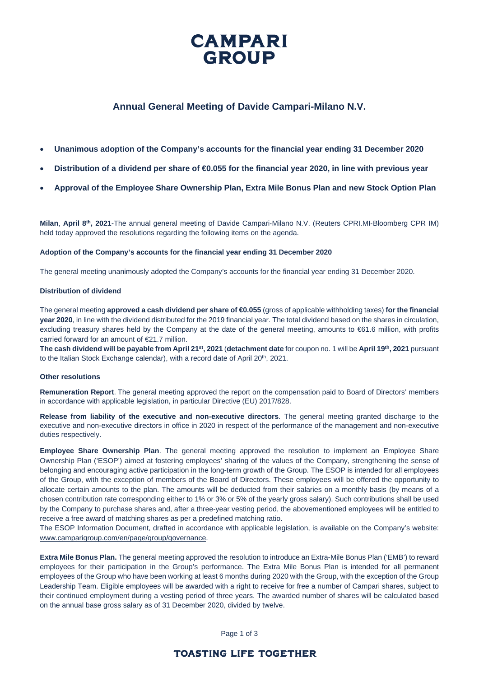

# **Annual General Meeting of Davide Campari-Milano N.V.**

- **Unanimous adoption of the Company's accounts for the financial year ending 31 December 2020**
- **Distribution of a dividend per share of €0.055 for the financial year 2020, in line with previous year**
- **Approval of the Employee Share Ownership Plan, Extra Mile Bonus Plan and new Stock Option Plan**

**Milan**, **April 8th, 2021**-The annual general meeting of Davide Campari‐Milano N.V. (Reuters CPRI.MI‐Bloomberg CPR IM) held today approved the resolutions regarding the following items on the agenda.

### **Adoption of the Company's accounts for the financial year ending 31 December 2020**

The general meeting unanimously adopted the Company's accounts for the financial year ending 31 December 2020.

### **Distribution of dividend**

The general meeting **approved a cash dividend per share of €0.055** (gross of applicable withholding taxes) **for the financial year 2020**, in line with the dividend distributed for the 2019 financial year. The total dividend based on the shares in circulation, excluding treasury shares held by the Company at the date of the general meeting, amounts to €61.6 million, with profits carried forward for an amount of €21.7 million.

**The cash dividend will be payable from April 21st, 2021** (**detachment date** for coupon no. 1 will be **April 19th, 2021** pursuant to the Italian Stock Exchange calendar), with a record date of April 20<sup>th</sup>, 2021.

### **Other resolutions**

**Remuneration Report**. The general meeting approved the report on the compensation paid to Board of Directors' members in accordance with applicable legislation, in particular Directive (EU) 2017/828.

**Release from liability of the executive and non-executive directors**. The general meeting granted discharge to the executive and non-executive directors in office in 2020 in respect of the performance of the management and non-executive duties respectively.

**Employee Share Ownership Plan**. The general meeting approved the resolution to implement an Employee Share Ownership Plan ('ESOP') aimed at fostering employees' sharing of the values of the Company, strengthening the sense of belonging and encouraging active participation in the long-term growth of the Group. The ESOP is intended for all employees of the Group, with the exception of members of the Board of Directors. These employees will be offered the opportunity to allocate certain amounts to the plan. The amounts will be deducted from their salaries on a monthly basis (by means of a chosen contribution rate corresponding either to 1% or 3% or 5% of the yearly gross salary). Such contributions shall be used by the Company to purchase shares and, after a three-year vesting period, the abovementioned employees will be entitled to receive a free award of matching shares as per a predefined matching ratio.

The ESOP Information Document, drafted in accordance with applicable legislation, is available on the Company's website: [www.camparigroup.com/en/page/group/governance.](http://www.camparigroup.com/en/page/group/governance)

**Extra Mile Bonus Plan.** The general meeting approved the resolution to introduce an Extra-Mile Bonus Plan ('EMB') to reward employees for their participation in the Group's performance. The Extra Mile Bonus Plan is intended for all permanent employees of the Group who have been working at least 6 months during 2020 with the Group, with the exception of the Group Leadership Team. Eligible employees will be awarded with a right to receive for free a number of Campari shares, subject to their continued employment during a vesting period of three years. The awarded number of shares will be calculated based on the annual base gross salary as of 31 December 2020, divided by twelve.

Page 1 of 3

## **TOASTING LIFE TOGETHER**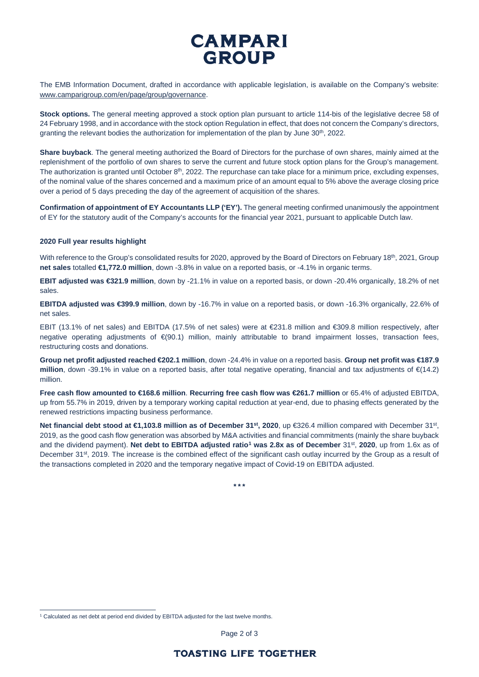# **CAMPARI** GROUP

The EMB Information Document, drafted in accordance with applicable legislation, is available on the Company's website: [www.camparigroup.com/en/page/group/governance.](http://www.camparigroup.com/en/page/group/governance)

**Stock options.** The general meeting approved a stock option plan pursuant to article 114-bis of the legislative decree 58 of 24 February 1998, and in accordance with the stock option Regulation in effect, that does not concern the Company's directors, granting the relevant bodies the authorization for implementation of the plan by June  $30<sup>th</sup>$ , 2022.

**Share buyback**. The general meeting authorized the Board of Directors for the purchase of own shares, mainly aimed at the replenishment of the portfolio of own shares to serve the current and future stock option plans for the Group's management. The authorization is granted until October  $8<sup>th</sup>$ , 2022. The repurchase can take place for a minimum price, excluding expenses, of the nominal value of the shares concerned and a maximum price of an amount equal to 5% above the average closing price over a period of 5 days preceding the day of the agreement of acquisition of the shares.

**Confirmation of appointment of EY Accountants LLP ('EY').** The general meeting confirmed unanimously the appointment of EY for the statutory audit of the Company's accounts for the financial year 2021, pursuant to applicable Dutch law.

## **2020 Full year results highlight**

With reference to the Group's consolidated results for 2020, approved by the Board of Directors on February 18<sup>th</sup>, 2021, Group **net sales** totalled **€1,772.0 million**, down -3.8% in value on a reported basis, or -4.1% in organic terms.

**EBIT adjusted was €321.9 million**, down by -21.1% in value on a reported basis, or down -20.4% organically, 18.2% of net sales.

**EBITDA adjusted was €399.9 million**, down by -16.7% in value on a reported basis, or down -16.3% organically, 22.6% of net sales.

EBIT (13.1% of net sales) and EBITDA (17.5% of net sales) were at €231.8 million and €309.8 million respectively, after negative operating adjustments of €(90.1) million, mainly attributable to brand impairment losses, transaction fees, restructuring costs and donations.

**Group net profit adjusted reached €202.1 million**, down -24.4% in value on a reported basis. **Group net profit was €187.9 million**, down -39.1% in value on a reported basis, after total negative operating, financial and tax adjustments of €(14.2) million.

**Free cash flow amounted to €168.6 million**. **Recurring free cash flow was €261.7 million** or 65.4% of adjusted EBITDA, up from 55.7% in 2019, driven by a temporary working capital reduction at year-end, due to phasing effects generated by the renewed restrictions impacting business performance.

**Net financial debt stood at €1,103.8 million as of December 31st, 2020**, up €326.4 million compared with December 31st, 2019, as the good cash flow generation was absorbed by M&A activities and financial commitments (mainly the share buyback and the dividend payment). **Net debt to EBITDA adjusted ratio[1](#page-1-0) was 2.8x as of December** 31st, **2020**, up from 1.6x as of December 31<sup>st</sup>, 2019. The increase is the combined effect of the significant cash outlay incurred by the Group as a result of the transactions completed in 2020 and the temporary negative impact of Covid-19 on EBITDA adjusted.

**\* \* \***

Page 2 of 3

<span id="page-1-0"></span> $1$  Calculated as net debt at period end divided by EBITDA adjusted for the last twelve months.